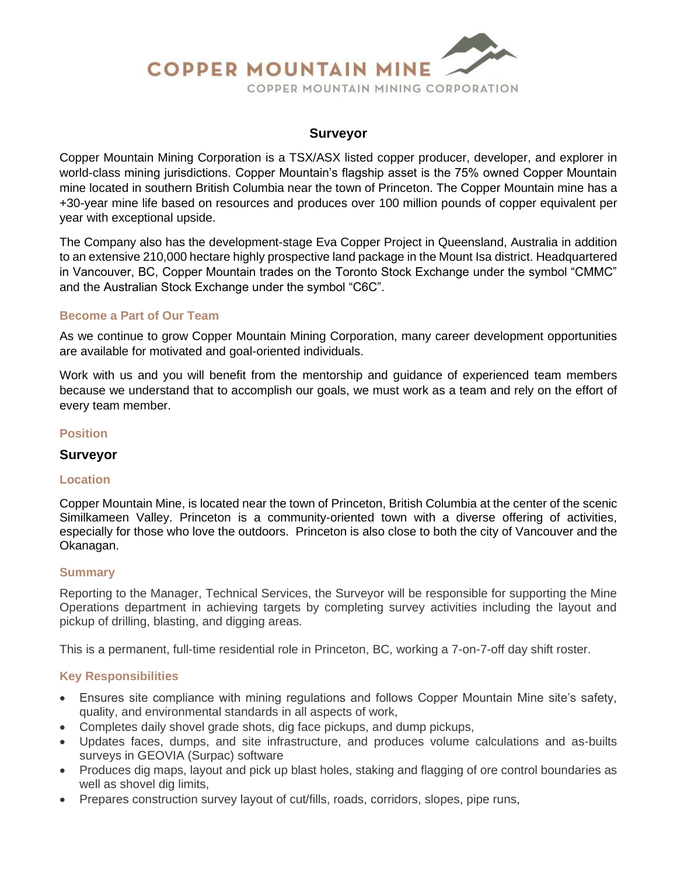# **COPPER MOUNTAIN MINE** COPPER MOUNTAIN MINING CORPORATION

#### **Surveyor**

Copper Mountain Mining Corporation is a TSX/ASX listed copper producer, developer, and explorer in world-class mining jurisdictions. Copper Mountain's flagship asset is the 75% owned Copper Mountain mine located in southern British Columbia near the town of Princeton. The Copper Mountain mine has a +30-year mine life based on resources and produces over 100 million pounds of copper equivalent per year with exceptional upside.

The Company also has the development-stage Eva Copper Project in Queensland, Australia in addition to an extensive 210,000 hectare highly prospective land package in the Mount Isa district. Headquartered in Vancouver, BC, Copper Mountain trades on the Toronto Stock Exchange under the symbol "CMMC" and the Australian Stock Exchange under the symbol "C6C".

#### **Become a Part of Our Team**

As we continue to grow Copper Mountain Mining Corporation, many career development opportunities are available for motivated and goal-oriented individuals.

Work with us and you will benefit from the mentorship and guidance of experienced team members because we understand that to accomplish our goals, we must work as a team and rely on the effort of every team member.

#### **Position**

#### **Surveyor**

#### **Location**

Copper Mountain Mine, is located near the town of Princeton, British Columbia at the center of the scenic Similkameen Valley. Princeton is a community-oriented town with a diverse offering of activities, especially for those who love the outdoors. Princeton is also close to both the city of Vancouver and the Okanagan.

#### **Summary**

Reporting to the Manager, Technical Services, the Surveyor will be responsible for supporting the Mine Operations department in achieving targets by completing survey activities including the layout and pickup of drilling, blasting, and digging areas.

This is a permanent, full-time residential role in Princeton, BC, working a 7-on-7-off day shift roster.

### **Key Responsibilities**

- Ensures site compliance with mining regulations and follows Copper Mountain Mine site's safety, quality, and environmental standards in all aspects of work,
- Completes daily shovel grade shots, dig face pickups, and dump pickups,
- Updates faces, dumps, and site infrastructure, and produces volume calculations and as-builts surveys in GEOVIA (Surpac) software
- Produces dig maps, layout and pick up blast holes, staking and flagging of ore control boundaries as well as shovel dig limits,
- Prepares construction survey layout of cut/fills, roads, corridors, slopes, pipe runs,